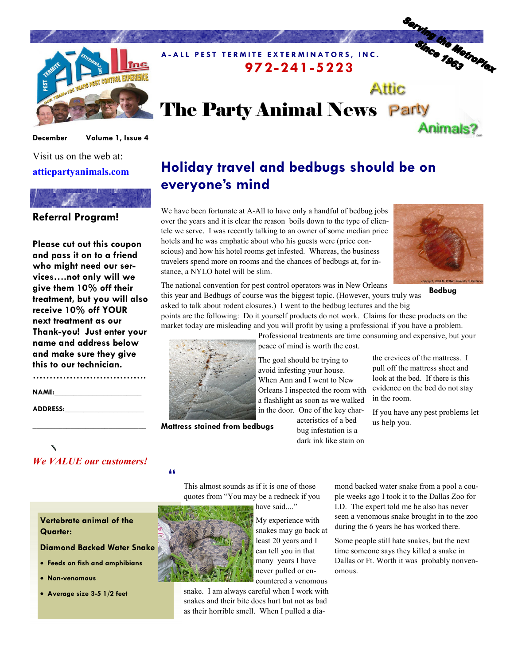

#### December Volume 1, Issue 4

### Visit us on the web at: atticpartyanimals.com



Please cut out this coupon and pass it on to a friend who might need our services….not only will we give them 10% off their treatment, but you will also receive 10% off YOUR next treatment as our Thank-you! Just enter your name and address below and make sure they give this to our technician.

………………………………………… NAME: ADDRESS:

# We VALUE our customers!

\_\_\_\_\_\_\_\_\_\_\_\_\_\_\_\_\_\_\_\_\_\_\_\_\_\_\_\_\_\_

## Holiday travel and bedbugs should be on everyone's mind

972-241-5223

The Party Animal News Party

We have been fortunate at A-All to have only a handful of bedbug jobs over the years and it is clear the reason boils down to the type of clientele we serve. I was recently talking to an owner of some median price hotels and he was emphatic about who his guests were (price conscious) and how his hotel rooms get infested. Whereas, the business travelers spend more on rooms and the chances of bedbugs at, for instance, a NYLO hotel will be slim.

A-ALL PEST TERMITE EXTERMINATORS, INC.



Serving the Metroplex

Animals?

**Attic** 

Bedbug

The national convention for pest control operators was in New Orleans this year and Bedbugs of course was the biggest topic. (However, yours truly was

asked to talk about rodent closures.) I went to the bedbug lectures and the big points are the following: Do it yourself products do not work. Claims for these products on the market today are misleading and you will profit by using a professional if you have a problem.



Mattress stained from bedbugs

Professional treatments are time consuming and expensive, but your peace of mind is worth the cost.

The goal should be trying to avoid infesting your house. When Ann and I went to New Orleans I inspected the room with a flashlight as soon as we walked in the door. One of the key char-

acteristics of a bed bug infestation is a dark ink like stain on

the crevices of the mattress. I pull off the mattress sheet and look at the bed. If there is this evidence on the bed do not stay in the room.

If you have any pest problems let us help you.

#### "

This almost sounds as if it is one of those quotes from "You may be a redneck if you

have said...."

as their horrible smell. When I pulled a dia-



My experience with snakes may go back at least 20 years and I can tell you in that many years I have never pulled or en-

mond backed water snake from a pool a couple weeks ago I took it to the Dallas Zoo for I.D. The expert told me he also has never seen a venomous snake brought in to the zoo during the 6 years he has worked there.

Some people still hate snakes, but the next time someone says they killed a snake in Dallas or Ft. Worth it was probably nonvenomous.

Vertebrate animal of the Quarter:

Diamond Backed Water Snake

- Feeds on fish and amphibians
- Non-venomous
- Average size 3-5 1/2 feet

snake. I am always careful when I work with countered a venomous snakes and their bite does hurt but not as bad